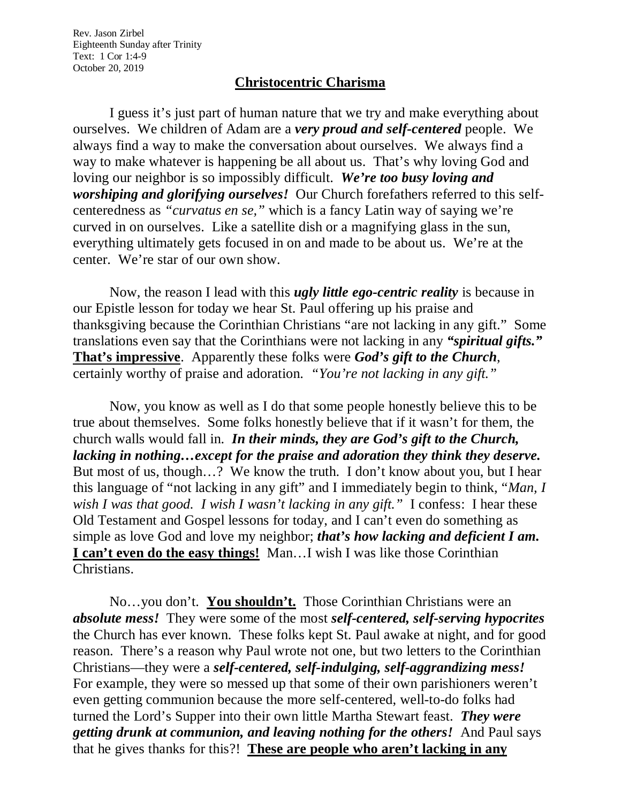Rev. Jason Zirbel Eighteenth Sunday after Trinity Text: 1 Cor 1:4-9 October 20, 2019

## **Christocentric Charisma**

I guess it's just part of human nature that we try and make everything about ourselves. We children of Adam are a *very proud and self-centered* people. We always find a way to make the conversation about ourselves. We always find a way to make whatever is happening be all about us. That's why loving God and loving our neighbor is so impossibly difficult. *We're too busy loving and worshiping and glorifying ourselves!* Our Church forefathers referred to this selfcenteredness as *"curvatus en se,"* which is a fancy Latin way of saying we're curved in on ourselves. Like a satellite dish or a magnifying glass in the sun, everything ultimately gets focused in on and made to be about us. We're at the center. We're star of our own show.

Now, the reason I lead with this *ugly little ego-centric reality* is because in our Epistle lesson for today we hear St. Paul offering up his praise and thanksgiving because the Corinthian Christians "are not lacking in any gift." Some translations even say that the Corinthians were not lacking in any *"spiritual gifts."* **That's impressive**. Apparently these folks were *God's gift to the Church*, certainly worthy of praise and adoration. *"You're not lacking in any gift."*

Now, you know as well as I do that some people honestly believe this to be true about themselves. Some folks honestly believe that if it wasn't for them, the church walls would fall in. *In their minds, they are God's gift to the Church, lacking in nothing…except for the praise and adoration they think they deserve.* But most of us, though…? We know the truth. I don't know about you, but I hear this language of "not lacking in any gift" and I immediately begin to think, "*Man, I wish I was that good. I wish I wasn't lacking in any gift."* I confess: I hear these Old Testament and Gospel lessons for today, and I can't even do something as simple as love God and love my neighbor; *that's how lacking and deficient I am.* **I can't even do the easy things!** Man…I wish I was like those Corinthian Christians.

No…you don't. **You shouldn't.** Those Corinthian Christians were an *absolute mess!* They were some of the most *self-centered, self-serving hypocrites* the Church has ever known. These folks kept St. Paul awake at night, and for good reason. There's a reason why Paul wrote not one, but two letters to the Corinthian Christians—they were a *self-centered, self-indulging, self-aggrandizing mess!* For example, they were so messed up that some of their own parishioners weren't even getting communion because the more self-centered, well-to-do folks had turned the Lord's Supper into their own little Martha Stewart feast. *They were getting drunk at communion, and leaving nothing for the others!* And Paul says that he gives thanks for this?! **These are people who aren't lacking in any**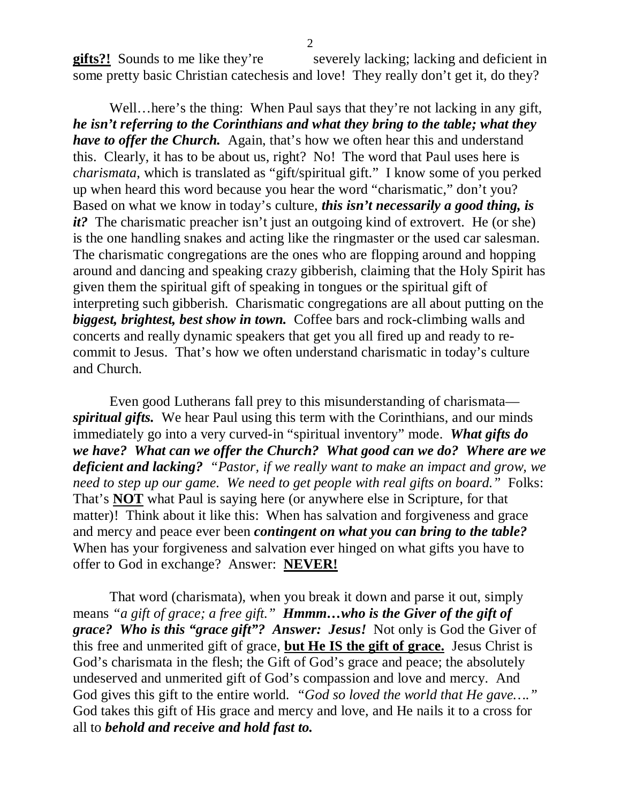**gifts?!** Sounds to me like they're severely lacking; lacking and deficient in some pretty basic Christian catechesis and love! They really don't get it, do they?

Well...here's the thing: When Paul says that they're not lacking in any gift, *he isn't referring to the Corinthians and what they bring to the table; what they have to offer the Church.* Again, that's how we often hear this and understand this. Clearly, it has to be about us, right? No! The word that Paul uses here is *charismata*, which is translated as "gift/spiritual gift." I know some of you perked up when heard this word because you hear the word "charismatic," don't you? Based on what we know in today's culture, *this isn't necessarily a good thing, is it?* The charismatic preacher isn't just an outgoing kind of extrovert. He (or she) is the one handling snakes and acting like the ringmaster or the used car salesman. The charismatic congregations are the ones who are flopping around and hopping around and dancing and speaking crazy gibberish, claiming that the Holy Spirit has given them the spiritual gift of speaking in tongues or the spiritual gift of interpreting such gibberish. Charismatic congregations are all about putting on the *biggest, brightest, best show in town.* Coffee bars and rock-climbing walls and concerts and really dynamic speakers that get you all fired up and ready to recommit to Jesus. That's how we often understand charismatic in today's culture and Church.

Even good Lutherans fall prey to this misunderstanding of charismata *spiritual gifts.* We hear Paul using this term with the Corinthians, and our minds immediately go into a very curved-in "spiritual inventory" mode. *What gifts do we have? What can we offer the Church? What good can we do? Where are we deficient and lacking? "Pastor, if we really want to make an impact and grow, we need to step up our game. We need to get people with real gifts on board."* Folks: That's **NOT** what Paul is saying here (or anywhere else in Scripture, for that matter)! Think about it like this: When has salvation and forgiveness and grace and mercy and peace ever been *contingent on what you can bring to the table?* When has your forgiveness and salvation ever hinged on what gifts you have to offer to God in exchange? Answer: **NEVER!**

That word (charismata), when you break it down and parse it out, simply means *"a gift of grace; a free gift." Hmmm…who is the Giver of the gift of grace? Who is this "grace gift"? Answer: Jesus!* Not only is God the Giver of this free and unmerited gift of grace, **but He IS the gift of grace.** Jesus Christ is God's charismata in the flesh; the Gift of God's grace and peace; the absolutely undeserved and unmerited gift of God's compassion and love and mercy. And God gives this gift to the entire world. *"God so loved the world that He gave…."* God takes this gift of His grace and mercy and love, and He nails it to a cross for all to *behold and receive and hold fast to.*